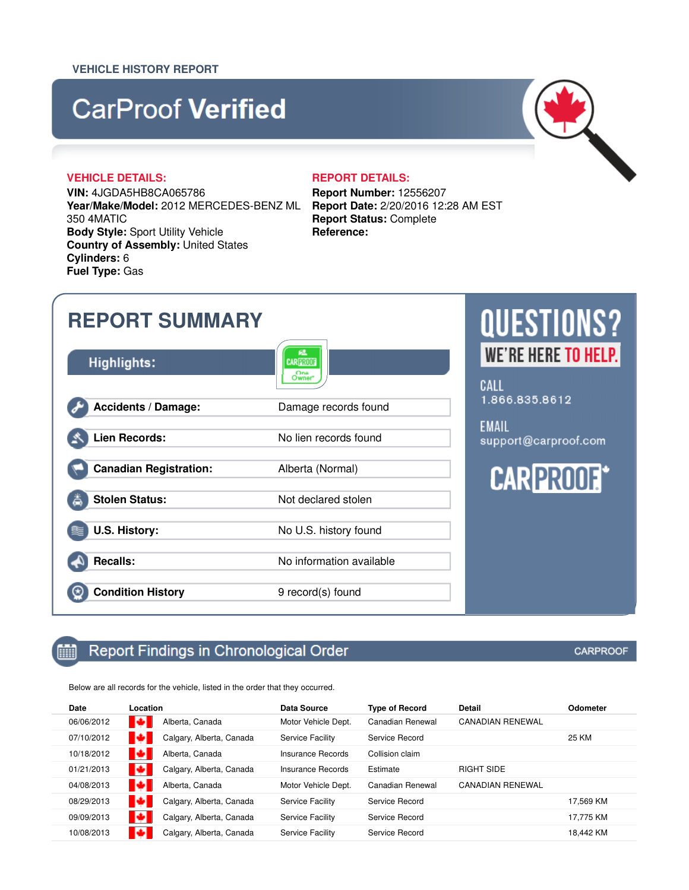### **VEHICLE HISTORY REPORT**

# **CarProof Verified**

### **VEHICLE DETAILS: REPORT DETAILS:**

**VIN:** 4JGDA5HB8CA065786 **Year/Make/Model:** 2012 MERCEDES-BENZ ML 350 4MATIC **Body Style:** Sport Utility Vehicle **Country of Assembly:** United States **Cylinders:** 6 **Fuel Type:** Gas

**Report Number:** 12556207 **Report Date:** 2/20/2016 12:28 AM EST **Report Status:** Complete **Reference:**

| <b>REPORT SUMMARY</b>         |                                      | <b>QUESTIONS?</b>                    |
|-------------------------------|--------------------------------------|--------------------------------------|
| <b>Highlights:</b>            | 紐<br><b>CARPROOF</b><br>One<br>Owner | WE'RE HERE TO HELP.<br>CALL          |
| <b>Accidents / Damage:</b>    | Damage records found                 | 1.866.835.8612                       |
| <b>Lien Records:</b>          | No lien records found                | <b>EMAIL</b><br>support@carproof.com |
| <b>Canadian Registration:</b> | Alberta (Normal)                     | <b>CARPROOF*</b>                     |
| <b>Stolen Status:</b>         | Not declared stolen                  |                                      |
| <b>U.S. History:</b>          | No U.S. history found                |                                      |
| <b>Recalls:</b>               | No information available             |                                      |
| <b>Condition History</b>      | 9 record(s) found                    |                                      |

### Report Findings in Chronological Order mindra politika politika kunika politika kunika politika kunika politika kunika politika kunika politika polit<br>Politika politika politika politika politika politika politika politika politika politika politika politika po<br>

Below are all records for the vehicle, listed in the order that they occurred.

| Date       | Location |                          | <b>Data Source</b>      | <b>Type of Record</b> | Detail                  | <b>Odometer</b> |
|------------|----------|--------------------------|-------------------------|-----------------------|-------------------------|-----------------|
| 06/06/2012 | ы        | Alberta, Canada          | Motor Vehicle Dept.     | Canadian Renewal      | <b>CANADIAN RENEWAL</b> |                 |
| 07/10/2012 |          | Calgary, Alberta, Canada | Service Facility        | Service Record        |                         | 25 KM           |
| 10/18/2012 | ы        | Alberta, Canada          | Insurance Records       | Collision claim       |                         |                 |
| 01/21/2013 |          | Calgary, Alberta, Canada | Insurance Records       | Estimate              | RIGHT SIDE              |                 |
| 04/08/2013 | o        | Alberta, Canada          | Motor Vehicle Dept.     | Canadian Renewal      | <b>CANADIAN RENEWAL</b> |                 |
| 08/29/2013 |          | Calgary, Alberta, Canada | Service Facility        | Service Record        |                         | 17.569 KM       |
| 09/09/2013 |          | Calgary, Alberta, Canada | <b>Service Facility</b> | Service Record        |                         | 17,775 KM       |
| 10/08/2013 |          | Calgary, Alberta, Canada | Service Facility        | Service Record        |                         | 18,442 KM       |
|            |          |                          |                         |                       |                         |                 |

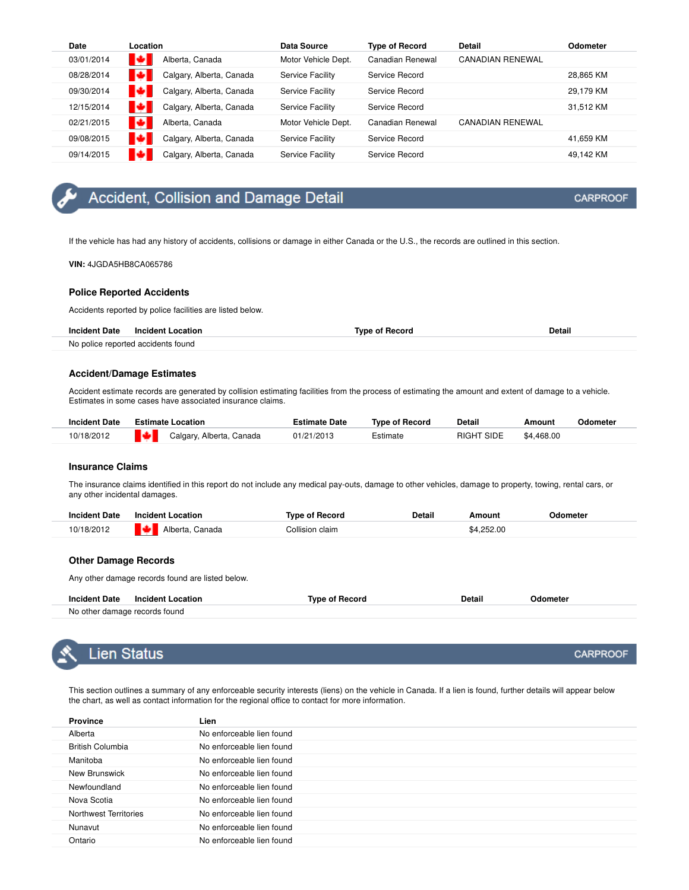| Date       | Location                 | Data Source         | <b>Type of Record</b> | <b>Detail</b>           | <b>Odometer</b> |
|------------|--------------------------|---------------------|-----------------------|-------------------------|-----------------|
| 03/01/2014 | Alberta, Canada          | Motor Vehicle Dept. | Canadian Renewal      | <b>CANADIAN RENEWAL</b> |                 |
| 08/28/2014 | Calgary, Alberta, Canada | Service Facility    | Service Record        |                         | 28.865 KM       |
| 09/30/2014 | Calgary, Alberta, Canada | Service Facility    | Service Record        |                         | 29.179 KM       |
| 12/15/2014 | Calgary, Alberta, Canada | Service Facility    | Service Record        |                         | 31.512 KM       |
| 02/21/2015 | Alberta, Canada          | Motor Vehicle Dept. | Canadian Renewal      | <b>CANADIAN RENEWAL</b> |                 |
| 09/08/2015 | Calgary, Alberta, Canada | Service Facility    | Service Record        |                         | 41.659 KM       |
| 09/14/2015 | Calgary, Alberta, Canada | Service Facility    | Service Record        |                         | 49.142 KM       |

### Accident, Collision and Damage Detail

If the vehicle has had any history of accidents, collisions or damage in either Canada or the U.S., the records are outlined in this section.

**VIN:** 4JGDA5HB8CA065786

### **Police Reported Accidents**

Accidents reported by police facilities are listed below.

| <b>Incident Date</b> | <b>Incident Location</b>           | Tyne of Record | Detail |
|----------------------|------------------------------------|----------------|--------|
|                      | No police reported accidents found |                |        |

#### **Accident/Damage Estimates**

Accident estimate records are generated by collision estimating facilities from the process of estimating the amount and extent of damage to a vehicle. Estimates in some cases have associated insurance claims.

| <b>Incident Date</b> |               | <b>Estimate Location</b> | <b>Estimate Date</b> | <b>Type of Record</b> | <b>Detail</b> | Amount     | Odometer |
|----------------------|---------------|--------------------------|----------------------|-----------------------|---------------|------------|----------|
| 10/18/2012           | <b>IMAGES</b> | Calgary, Alberta, Canada | 01/21/2013           | Estimate              | RIGHT SIDE    | \$4.468.00 |          |

### **Insurance Claims**

The insurance claims identified in this report do not include any medical pay-outs, damage to other vehicles, damage to property, towing, rental cars, or any other incidental damages.

| <b>Incident Date</b> | <b>Incident Location</b> | <b>Type of Record</b> | Detail | Amount     | Odometer |
|----------------------|--------------------------|-----------------------|--------|------------|----------|
| 10/18/2012           | ю<br>Alberta, Canada     | Collision claim       |        | \$4,252.00 |          |

#### **Other Damage Records**

Any other damage records found are listed below.

| <b>Incident Date</b> | <b>Incident Location</b>      | <b>Type of Record</b> | Detail | Odometer |
|----------------------|-------------------------------|-----------------------|--------|----------|
|                      | No other damage records found |                       |        |          |



### Lien Status

This section outlines a summary of any enforceable security interests (liens) on the vehicle in Canada. If a lien is found, further details will appear below the chart, as well as contact information for the regional office to contact for more information.

| <b>Province</b>         | Lien                      |
|-------------------------|---------------------------|
| Alberta                 | No enforceable lien found |
| <b>British Columbia</b> | No enforceable lien found |
| Manitoba                | No enforceable lien found |
| New Brunswick           | No enforceable lien found |
| Newfoundland            | No enforceable lien found |
| Nova Scotia             | No enforceable lien found |
| Northwest Territories   | No enforceable lien found |
| Nunavut                 | No enforceable lien found |
| Ontario                 | No enforceable lien found |

### **CARPROOF**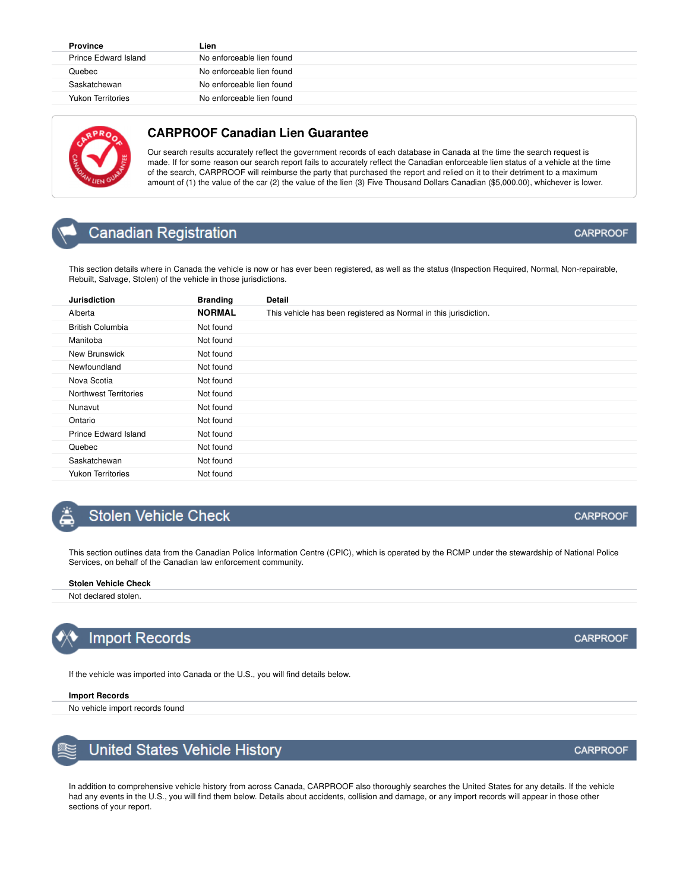| <b>Province</b>             | Lien                      |
|-----------------------------|---------------------------|
| <b>Prince Edward Island</b> | No enforceable lien found |
| Quebec                      | No enforceable lien found |
| Saskatchewan                | No enforceable lien found |
| <b>Yukon Territories</b>    | No enforceable lien found |



### **CARPROOF Canadian Lien Guarantee**

Our search results accurately reflect the government records of each database in Canada at the time the search request is made. If for some reason our search report fails to accurately reflect the Canadian enforceable lien status of a vehicle at the time of the search, CARPROOF will reimburse the party that purchased the report and relied on it to their detriment to a maximum amount of (1) the value of the car (2) the value of the lien (3) Five Thousand Dollars Canadian (\$5,000.00), whichever is lower.

## **Canadian Registration**

Rebuilt, Salvage, Stolen) of the vehicle in those jurisdictions.

This section details where in Canada the vehicle is now or has ever been registered, as well as the status (Inspection Required, Normal, Non-repairable,

| <b>Jurisdiction</b>      | <b>Branding</b> | Detail                                                           |
|--------------------------|-----------------|------------------------------------------------------------------|
| Alberta                  | <b>NORMAL</b>   | This vehicle has been registered as Normal in this jurisdiction. |
| <b>British Columbia</b>  | Not found       |                                                                  |
| Manitoba                 | Not found       |                                                                  |
| New Brunswick            | Not found       |                                                                  |
| Newfoundland             | Not found       |                                                                  |
| Nova Scotia              | Not found       |                                                                  |
| Northwest Territories    | Not found       |                                                                  |
| Nunavut                  | Not found       |                                                                  |
| Ontario                  | Not found       |                                                                  |
| Prince Edward Island     | Not found       |                                                                  |
| Quebec                   | Not found       |                                                                  |
| Saskatchewan             | Not found       |                                                                  |
| <b>Yukon Territories</b> | Not found       |                                                                  |

### **Stolen Vehicle Check**

This section outlines data from the Canadian Police Information Centre (CPIC), which is operated by the RCMP under the stewardship of National Police Services, on behalf of the Canadian law enforcement community.

#### **Stolen Vehicle Check**

Not declared stolen.



### **Import Records**

If the vehicle was imported into Canada or the U.S., you will find details below.

#### **Import Records**

No vehicle import records found



In addition to comprehensive vehicle history from across Canada, CARPROOF also thoroughly searches the United States for any details. If the vehicle had any events in the U.S., you will find them below. Details about accidents, collision and damage, or any import records will appear in those other sections of your report.

### **CARPROOF**

**CARPROOF** 

**CARPROOF**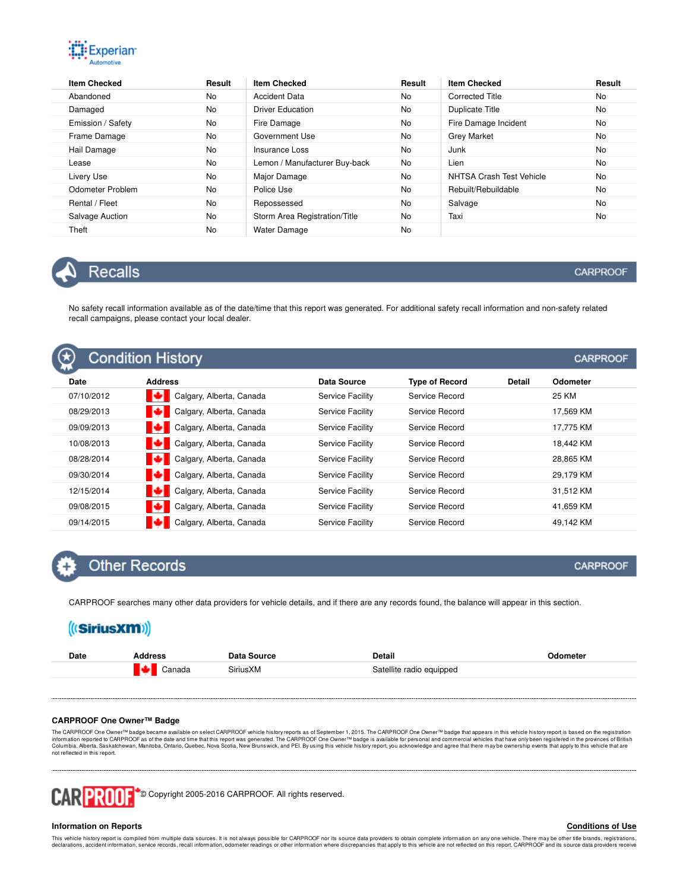

| <b>Item Checked</b> | Result    | <b>Item Checked</b>           | Result    | <b>Item Checked</b>      | Result    |
|---------------------|-----------|-------------------------------|-----------|--------------------------|-----------|
| Abandoned           | No        | Accident Data                 | <b>No</b> | Corrected Title          | <b>No</b> |
| Damaged             | No        | <b>Driver Education</b>       | <b>No</b> | Duplicate Title          | <b>No</b> |
| Emission / Safety   | <b>No</b> | Fire Damage                   | <b>No</b> | Fire Damage Incident     | <b>No</b> |
| Frame Damage        | No        | Government Use                | <b>No</b> | <b>Grey Market</b>       | <b>No</b> |
| Hail Damage         | No        | Insurance Loss                | <b>No</b> | Junk                     | <b>No</b> |
| Lease               | No        | Lemon / Manufacturer Buy-back | <b>No</b> | Lien                     | <b>No</b> |
| Livery Use          | <b>No</b> | Major Damage                  | <b>No</b> | NHTSA Crash Test Vehicle | No        |
| Odometer Problem    | No        | Police Use                    | <b>No</b> | Rebuilt/Rebuildable      | <b>No</b> |
| Rental / Fleet      | <b>No</b> | Repossessed                   | <b>No</b> | Salvage                  | <b>No</b> |
| Salvage Auction     | <b>No</b> | Storm Area Registration/Title | <b>No</b> | Taxi                     | <b>No</b> |
| Theft               | No        | <b>Water Damage</b>           | <b>No</b> |                          |           |



### **Recalls**

No safety recall information available as of the date/time that this report was generated. For additional safety recall information and non-safety related recall campaigns, please contact your local dealer.

|            | <b>Condition History</b> |                         |                       |        | <b>CARPROOF</b> |
|------------|--------------------------|-------------------------|-----------------------|--------|-----------------|
| Date       | <b>Address</b>           | <b>Data Source</b>      | <b>Type of Record</b> | Detail | Odometer        |
| 07/10/2012 | Calgary, Alberta, Canada | <b>Service Facility</b> | Service Record        |        | 25 KM           |
| 08/29/2013 | Calgary, Alberta, Canada | <b>Service Facility</b> | Service Record        |        | 17.569 KM       |
| 09/09/2013 | Calgary, Alberta, Canada | <b>Service Facility</b> | Service Record        |        | 17,775 KM       |
| 10/08/2013 | Calgary, Alberta, Canada | Service Facility        | Service Record        |        | 18.442 KM       |
| 08/28/2014 | Calgary, Alberta, Canada | Service Facility        | Service Record        |        | 28.865 KM       |
| 09/30/2014 | Calgary, Alberta, Canada | Service Facility        | Service Record        |        | 29,179 KM       |
| 12/15/2014 | Calgary, Alberta, Canada | Service Facility        | Service Record        |        | 31,512 KM       |
| 09/08/2015 | Calgary, Alberta, Canada | <b>Service Facility</b> | Service Record        |        | 41,659 KM       |
| 09/14/2015 | Calgary, Alberta, Canada | <b>Service Facility</b> | Service Record        |        | 49,142 KM       |

### **Other Records**

CARPROOF searches many other data providers for vehicle details, and if there are any records found, the balance will appear in this section.

| ((SiriusXM)) |                |                    |                          |                 |
|--------------|----------------|--------------------|--------------------------|-----------------|
| Date         | <b>Address</b> | <b>Data Source</b> | Detail                   | <b>Odometer</b> |
|              | Canada         | SiriusXM           | Satellite radio equipped |                 |
|              |                |                    |                          |                 |

### **CARPROOF One Owner™ Badge**

The CARPROOF One Owner™ badge became available on select CARPROOF vehicle history reports as of September 1, 2015. The CARPROOF One Owner™ badge that appears in this vehicle history report is based on the registration in not reflected in this report.



#### **Information on Reports**

#### **Conditions of Use**

This vehicle history report is compiled from multiple data sources. It is not always possible for CARPROOF nor its source data providers to obtain complete information on any one vehicle. There may be other title brands, r

### **CARPROOF**